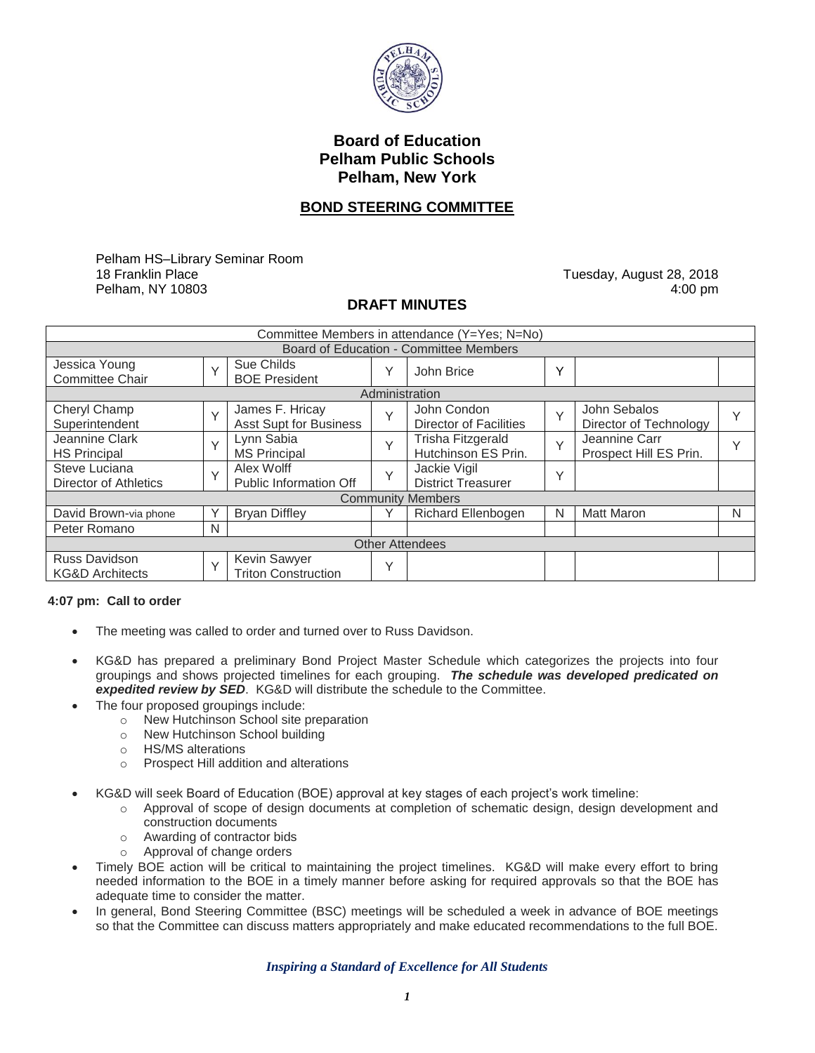

# **Board of Education Pelham Public Schools Pelham, New York**

## **BOND STEERING COMMITTEE**

Pelham HS–Library Seminar Room 18 Franklin Place Tuesday, August 28, 2018 Pelham, NY 10803 4:00 pm

### **DRAFT MINUTES**

| Committee Members in attendance (Y=Yes; N=No)      |              |                                                  |              |                                              |        |                                         |              |
|----------------------------------------------------|--------------|--------------------------------------------------|--------------|----------------------------------------------|--------|-----------------------------------------|--------------|
| Board of Education - Committee Members             |              |                                                  |              |                                              |        |                                         |              |
| Jessica Young<br><b>Committee Chair</b>            | $\vee$       | Sue Childs<br><b>BOE President</b>               | Υ            | John Brice                                   | Υ      |                                         |              |
| Administration                                     |              |                                                  |              |                                              |        |                                         |              |
| Cheryl Champ<br>Superintendent                     | $\vee$       | James F. Hricay<br><b>Asst Supt for Business</b> | $\checkmark$ | John Condon<br><b>Director of Facilities</b> | $\vee$ | John Sebalos<br>Director of Technology  | $\checkmark$ |
| Jeannine Clark<br><b>HS Principal</b>              | $\vee$       | Lynn Sabia<br><b>MS Principal</b>                | $\checkmark$ | Trisha Fitzgerald<br>Hutchinson ES Prin.     | $\vee$ | Jeannine Carr<br>Prospect Hill ES Prin. | $\checkmark$ |
| Steve Luciana<br>Director of Athletics             | $\checkmark$ | Alex Wolff<br>Public Information Off             | $\checkmark$ | Jackie Vigil<br><b>District Treasurer</b>    | Υ      |                                         |              |
| <b>Community Members</b>                           |              |                                                  |              |                                              |        |                                         |              |
| David Brown-via phone                              |              | <b>Bryan Diffley</b>                             |              | <b>Richard Ellenbogen</b>                    | N      | <b>Matt Maron</b>                       | N            |
| Peter Romano                                       | N            |                                                  |              |                                              |        |                                         |              |
| <b>Other Attendees</b>                             |              |                                                  |              |                                              |        |                                         |              |
| <b>Russ Davidson</b><br><b>KG&amp;D Architects</b> | $\vee$       | Kevin Sawyer<br><b>Triton Construction</b>       | $\checkmark$ |                                              |        |                                         |              |

### **4:07 pm: Call to order**

- The meeting was called to order and turned over to Russ Davidson.
- KG&D has prepared a preliminary Bond Project Master Schedule which categorizes the projects into four groupings and shows projected timelines for each grouping. *The schedule was developed predicated on expedited review by SED*. KG&D will distribute the schedule to the Committee.
- The four proposed groupings include:
	- o New Hutchinson School site preparation
	- o New Hutchinson School building
	- o HS/MS alterations
	- o Prospect Hill addition and alterations
- KG&D will seek Board of Education (BOE) approval at key stages of each project's work timeline:
	- o Approval of scope of design documents at completion of schematic design, design development and construction documents
	- o Awarding of contractor bids
	- o Approval of change orders
- Timely BOE action will be critical to maintaining the project timelines. KG&D will make every effort to bring needed information to the BOE in a timely manner before asking for required approvals so that the BOE has adequate time to consider the matter.
- In general, Bond Steering Committee (BSC) meetings will be scheduled a week in advance of BOE meetings so that the Committee can discuss matters appropriately and make educated recommendations to the full BOE.

 *Inspiring a Standard of Excellence for All Students*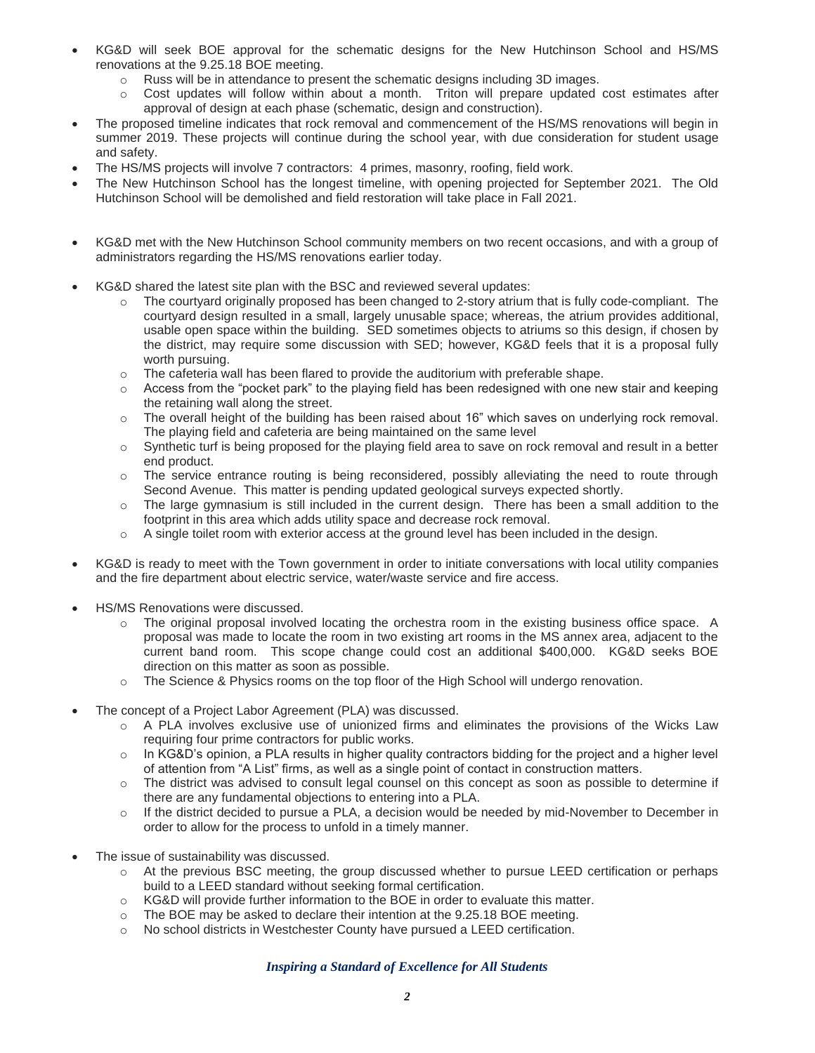- KG&D will seek BOE approval for the schematic designs for the New Hutchinson School and HS/MS renovations at the 9.25.18 BOE meeting.
	- $\circ$  Russ will be in attendance to present the schematic designs including 3D images.
	- $\circ$  Cost updates will follow within about a month. Triton will prepare updated cost estimates after approval of design at each phase (schematic, design and construction).
- The proposed timeline indicates that rock removal and commencement of the HS/MS renovations will begin in summer 2019. These projects will continue during the school year, with due consideration for student usage and safety.
- The HS/MS projects will involve 7 contractors: 4 primes, masonry, roofing, field work.
- The New Hutchinson School has the longest timeline, with opening projected for September 2021. The Old Hutchinson School will be demolished and field restoration will take place in Fall 2021.
- KG&D met with the New Hutchinson School community members on two recent occasions, and with a group of administrators regarding the HS/MS renovations earlier today.
- KG&D shared the latest site plan with the BSC and reviewed several updates:
	- courtyard design resulted in a small, largely unusable space; whereas, the atrium provides additional, usable open space within the building. SED sometimes objects to atriums so this design, if chosen by the district, may require some discussion with SED; however, KG&D feels that it is a proposal fully  $\circ$  The courtyard originally proposed has been changed to 2-story atrium that is fully code-compliant. The worth pursuing.
	- o The cafeteria wall has been flared to provide the auditorium with preferable shape.
	- o Access from the "pocket park" to the playing field has been redesigned with one new stair and keeping the retaining wall along the street.
	- o The overall height of the building has been raised about 16" which saves on underlying rock removal. The playing field and cafeteria are being maintained on the same level
	- o Synthetic turf is being proposed for the playing field area to save on rock removal and result in a better end product.
	- o The service entrance routing is being reconsidered, possibly alleviating the need to route through Second Avenue. This matter is pending updated geological surveys expected shortly.
	- o The large gymnasium is still included in the current design. There has been a small addition to the footprint in this area which adds utility space and decrease rock removal.
	- $\circ$  A single toilet room with exterior access at the ground level has been included in the design.
- KG&D is ready to meet with the Town government in order to initiate conversations with local utility companies and the fire department about electric service, water/waste service and fire access.
- HS/MS Renovations were discussed.
	- o The original proposal involved locating the orchestra room in the existing business office space. A proposal was made to locate the room in two existing art rooms in the MS annex area, adjacent to the current band room. This scope change could cost an additional \$400,000. KG&D seeks BOE direction on this matter as soon as possible.
	- o The Science & Physics rooms on the top floor of the High School will undergo renovation.
- The concept of a Project Labor Agreement (PLA) was discussed.
	- o A PLA involves exclusive use of unionized firms and eliminates the provisions of the Wicks Law requiring four prime contractors for public works.
	- $\circ$  In KG&D's opinion, a PLA results in higher quality contractors bidding for the project and a higher level of attention from "A List" firms, as well as a single point of contact in construction matters.
	- o The district was advised to consult legal counsel on this concept as soon as possible to determine if there are any fundamental objections to entering into a PLA.
	- o If the district decided to pursue a PLA, a decision would be needed by mid-November to December in order to allow for the process to unfold in a timely manner.
- The issue of sustainability was discussed.
	- o At the previous BSC meeting, the group discussed whether to pursue LEED certification or perhaps build to a LEED standard without seeking formal certification.
	- o KG&D will provide further information to the BOE in order to evaluate this matter.
	- o The BOE may be asked to declare their intention at the 9.25.18 BOE meeting.
	- o No school districts in Westchester County have pursued a LEED certification.

#### *Inspiring a Standard of Excellence for All Students*